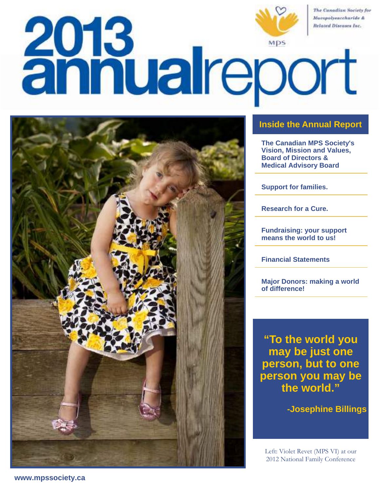



# **Inside the Annual Report**

**The Canadian MPS Society's Vision, Mission and Values, Board of Directors & Medical Advisory Board** 

**Support for families.** 

**Research for a Cure.** 

**Fundraising: your support means the world to us!** 

**Financial Statements** 

**Major Donors: making a world of difference!**

**"To the world you may be just one person, but to one person you may be the world."**

**-Josephine Billings** 

Left: Violet Revet (MPS VI) at our 2012 National Family Conference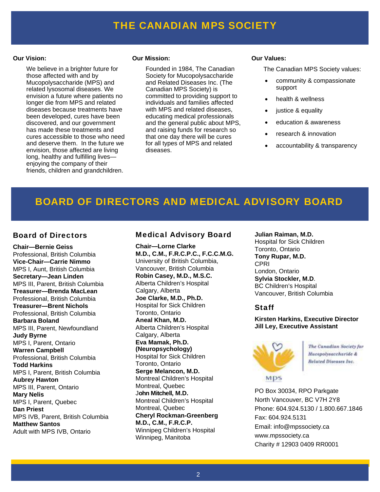# FINANCIAL STATEMENT STATEMENT STATEMENT  $\mathbf{F}$

#### **Our Vision:**

 We believe in a brighter future for those affected with and by Mucopolysaccharide (MPS) and related lysosomal diseases. We envision a future where patients no longer die from MPS and related diseases because treatments have been developed, cures have been discovered, and our government has made these treatments and cures accessible to those who need and deserve them. In the future we envision, those affected are living long, healthy and fulfilling lives enjoying the company of their friends, children and grandchildren.

#### **Our Mission:**

 Founded in 1984, The Canadian Society for Mucopolysaccharide and Related Diseases Inc. (The Canadian MPS Society) is committed to providing support to individuals and families affected with MPS and related diseases. educating medical professionals and the general public about MPS, and raising funds for research so that one day there will be cures for all types of MPS and related diseases.

#### **Our Values:**

The Canadian MPS Society values:

- community & compassionate support
- health & wellness
- justice & equality
- education & awareness
- research & innovation
- accountability & transparency

# BOARD OF DIRECTORS AND MEDICAL ADVISORY BOARD

### Board of Directors

**Chair—Bernie Geiss** Professional, British Columbia **Vice-Chair—Carrie Nimmo** MPS I, Aunt, British Columbia **Secretary—Jean Linden** MPS III, Parent, British Columbia **Treasurer—Brenda MacLean** Professional, British Columbia **Treasurer—Brent Nichols**  Professional, British Columbia **Barbara Boland** MPS III, Parent, Newfoundland **Judy Byrne**  MPS I, Parent, Ontario **Warren Campbell**  Professional, British Columbia **Todd Harkins**  MPS I, Parent, British Columbia **Aubrey Hawton**  MPS III, Parent, Ontario **Mary Nelis**  MPS I, Parent, Quebec **Dan Priest**  MPS IVB, Parent, British Columbia **Matthew Santos**  Adult with MPS IVB, Ontario

## Medical Advisory Board

**Chair—Lorne Clarke M.D., C.M., F.R.C.P.C., F.C.C.M.G.**  University of British Columbia, Vancouver, British Columbia **Robin Casey, M.D., M.S.C.**  Alberta Children's Hospital Calgary, Alberta **Joe Clarke, M.D., Ph.D.**  Hospital for Sick Children Toronto, Ontario **Aneal Khan, M.D.**  Alberta Children's Hospital Calgary, Alberta **Eva Mamak, Ph.D. (Neuropsychology)**  Hospital for Sick Children Toronto, Ontario **Serge Melancon, M.D.**  Montreal Children's Hospital Montreal, Quebec J**ohn Mitchell, M.D.**  Montreal Children's Hospital Montreal, Quebec **Cheryl Rockman-Greenberg M.D., C.M., F.R.C.P.**  Winnipeg Children's Hospital Winnipeg, Manitoba

**Julian Raiman, M.D.**  Hospital for Sick Children Toronto, Ontario **Tony Rupar, M.D.**  CPRI London, Ontario **Sylvia Stockler, M.D**. BC Children's Hospital Vancouver, British Columbia

## Staff

**Kirsten Harkins, Executive Director Jill Ley, Executive Assistant** 



The Canadian Society for Macepolysaccharide & Related Diseases Inc.

PO Box 30034, RPO Parkgate North Vancouver, BC V7H 2Y8 Phone: 604.924.5130 / 1.800.667.1846 Fax: 604.924.5131 Email: info@mpssociety.ca www.mpssociety.ca Charity # 12903 0409 RR0001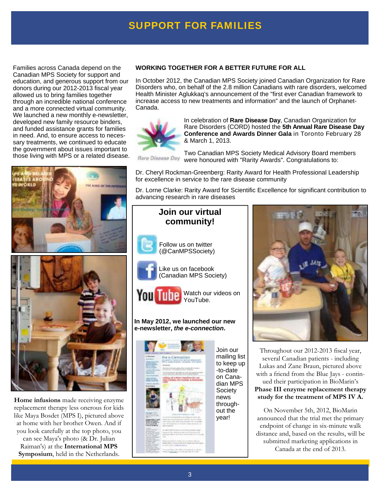# **SUPPORT FOR FAMILIES**

Families across Canada depend on the Canadian MPS Society for support and education, and generous support from our donors during our 2012-2013 fiscal year allowed us to bring families together through an incredible national conference and a more connected virtual community. We launched a new monthly e-newsletter, developed new family resource binders, and funded assistance grants for families in need. And, to ensure access to necessary treatments, we continued to educate the government about issues important to those living with MPS or a related disease.



**Home infusions** made receiving enzyme replacement therapy less onerous for kids like Maya Bosdet (MPS I), pictured above at home with her brother Owen. And if you look carefully at the top photo, you can see Maya's photo (& Dr. Julian Raiman's) at the **International MPS Symposium**, held in the Netherlands.

### **WORKING TOGETHER FOR A BETTER FUTURE FOR ALL**

In October 2012, the Canadian MPS Society joined Canadian Organization for Rare Disorders who, on behalf of the 2.8 million Canadians with rare disorders, welcomed Health Minister Aglukkaq's announcement of the "first ever Canadian framework to increase access to new treatments and information" and the launch of Orphanet-Canada.



In celebration of **Rare Disease Day**, Canadian Organization for Rare Disorders (CORD) hosted the **5th Annual Rare Disease Day Conference and Awards Dinner Gala** in Toronto February 28 & March 1, 2013.

Two Canadian MPS Society Medical Advisory Board members Rare Disease Day were honoured with "Rarity Awards". Congratulations to:

Dr. Cheryl Rockman-Greenberg: Rarity Award for Health Professional Leadership for excellence in service to the rare disease community

Dr. Lorne Clarke: Rarity Award for Scientific Excellence for significant contribution to advancing research in rare diseases

## **Join our virtual community!**



Follow us on twitter (@CanMPSSociety)



Like us on facebook (Canadian MPS Society)



Watch our videos on YouTube.

#### **In May 2012, we launched our new e-newsletter, the e-connection.**





Throughout our 2012-2013 fiscal year, several Canadian patients - including Lukas and Zane Braun, pictured above with a friend from the Blue Jays - continued their participation in BioMarin's **Phase III enzyme replacement therapy study for the treatment of MPS IV A.** 

On November 5th, 2012, BioMarin announced that the trial met the primary endpoint of change in six-minute walk distance and, based on the results, will be submitted marketing applications in Canada at the end of 2013.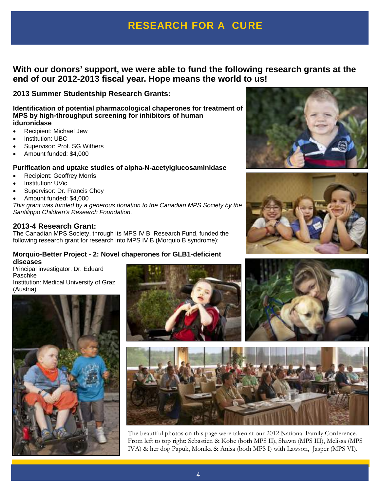# **RESEARCH FOR A CURE**

# **With our donors' support, we were able to fund the following research grants at the end of our 2012-2013 fiscal year. Hope means the world to us!**

**2013 Summer Studentship Research Grants:**

**Identification of potential pharmacological chaperones for treatment of MPS by high-throughput screening for inhibitors of human iduronidase** 

- Recipient: Michael Jew
- Institution: UBC
- Supervisor: Prof. SG Withers
- Amount funded: \$4,000

### **Purification and uptake studies of alpha-N-acetylglucosaminidase**

- Recipient: Geoffrey Morris
- Institution: UVic
- Supervisor: Dr. Francis Choy
- Amount funded: \$4,000

This grant was funded by a generous donation to the Canadian MPS Society by the Sanfilippo Children's Research Foundation.

### **2013-4 Research Grant:**

The Canadian MPS Society, through its MPS IV B Research Fund, funded the following research grant for research into MPS IV B (Morquio B syndrome):

### **Morquio-Better Project - 2: Novel chaperones for GLB1-deficient diseases**

Principal investigator: Dr. Eduard Paschke Institution: Medical University of Graz (Austria)









The beautiful photos on this page were taken at our 2012 National Family Conference. From left to top right: Sebastien & Kobe (both MPS II), Shawn (MPS III), Melissa (MPS IVA) & her dog Papuk, Monika & Anisa (both MPS I) with Lawson, Jasper (MPS VI).



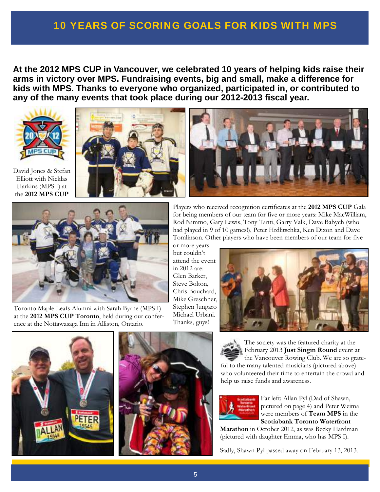# **10 YEARS OF SCORING GOALS FOR KIDS WITH MPS**

**At the 2012 MPS CUP in Vancouver, we celebrated 10 years of helping kids raise their arms in victory over MPS. Fundraising events, big and small, make a difference for kids with MPS. Thanks to everyone who organized, participated in, or contributed to any of the many events that took place during our 2012-2013 fiscal year.** 





Toronto Maple Leafs Alumni with Sarah Byrne (MPS I) at the **2012 MPS CUP Toronto**, held during our conference at the Nottawasaga Inn in Alliston, Ontario.

Players who received recognition certificates at the **2012 MPS CUP** Gala for being members of our team for five or more years: Mike MacWilliam, Rod Nimmo, Gary Lewis, Tony Tanti, Garry Valk, Dave Babych (who had played in 9 of 10 games!), Peter Hrdlitschka, Ken Dixon and Dave Tomlinson. Other players who have been members of our team for five

or more years but couldn't attend the event in 2012 are: Glen Barker, Steve Bolton, Chris Bouchard, Mike Greschner, Stephen Jungaro Michael Urbani. Thanks, guys!







The society was the featured charity at the February 2013 **Just Singin Round** event at the Vancouver Rowing Club. We are so grateful to the many talented musicians (pictured above) who volunteered their time to entertain the crowd and help us raise funds and awareness.



Far left: Allan Pyl (Dad of Shawn, pictured on page 4) and Peter Weima were members of **Team MPS** in the **Scotiabank Toronto Waterfront** 

**Marathon** in October 2012, as was Becky Hardman (pictured with daughter Emma, who has MPS I).

Sadly, Shawn Pyl passed away on February 13, 2013.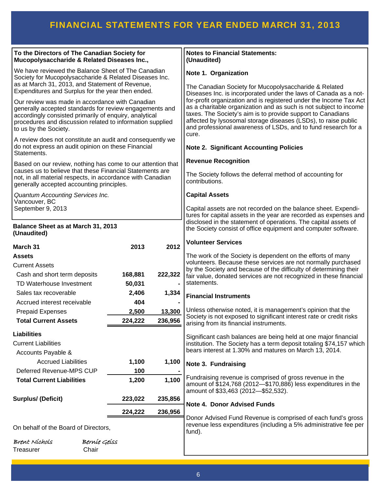# FINANCIAL STATEMENTS FOR YEAR ENDED MARCH 31, 2011 2013

| To the Directors of The Canadian Society for<br>Mucopolysaccharide & Related Diseases Inc.,                                                                                                                                                                |                  |                   | <b>Notes to Financial Statements:</b><br>(Unaudited)                                                                                                                                                                                                                                                                                                                                                                    |  |  |
|------------------------------------------------------------------------------------------------------------------------------------------------------------------------------------------------------------------------------------------------------------|------------------|-------------------|-------------------------------------------------------------------------------------------------------------------------------------------------------------------------------------------------------------------------------------------------------------------------------------------------------------------------------------------------------------------------------------------------------------------------|--|--|
| We have reviewed the Balance Sheet of The Canadian<br>Society for Mucopolysaccharide & Related Diseases Inc.<br>as at March 31, 2013, and Statement of Revenue,<br>Expenditures and Surplus for the year then ended.                                       |                  |                   | Note 1. Organization<br>The Canadian Society for Mucopolysaccharide & Related                                                                                                                                                                                                                                                                                                                                           |  |  |
| Our review was made in accordance with Canadian<br>generally accepted standards for review engagements and<br>accordingly consisted primarily of enquiry, analytical<br>procedures and discussion related to information supplied<br>to us by the Society. |                  |                   | Diseases Inc. is incorporated under the laws of Canada as a not-<br>for-profit organization and is registered under the Income Tax Act<br>as a charitable organization and as such is not subject to income<br>taxes. The Society's aim is to provide support to Canadians<br>affected by lysosomal storage diseases (LSDs), to raise public<br>and professional awareness of LSDs, and to fund research for a<br>cure. |  |  |
| A review does not constitute an audit and consequently we<br>do not express an audit opinion on these Financial<br>Statements.                                                                                                                             |                  |                   | <b>Note 2. Significant Accounting Policies</b>                                                                                                                                                                                                                                                                                                                                                                          |  |  |
| Based on our review, nothing has come to our attention that                                                                                                                                                                                                |                  |                   | <b>Revenue Recognition</b>                                                                                                                                                                                                                                                                                                                                                                                              |  |  |
| causes us to believe that these Financial Statements are<br>not, in all material respects, in accordance with Canadian<br>generally accepted accounting principles.                                                                                        |                  |                   | The Society follows the deferral method of accounting for<br>contributions.                                                                                                                                                                                                                                                                                                                                             |  |  |
| Quantum Accounting Services Inc.                                                                                                                                                                                                                           |                  |                   | <b>Capital Assets</b>                                                                                                                                                                                                                                                                                                                                                                                                   |  |  |
| Vancouver, BC<br>September 9, 2013                                                                                                                                                                                                                         |                  |                   | Capital assets are not recorded on the balance sheet. Expendi-<br>tures for capital assets in the year are recorded as expenses and<br>disclosed in the statement of operations. The capital assets of                                                                                                                                                                                                                  |  |  |
| Balance Sheet as at March 31, 2013<br>(Unaudited)                                                                                                                                                                                                          |                  |                   | the Society consist of office equipment and computer software.                                                                                                                                                                                                                                                                                                                                                          |  |  |
| March 31                                                                                                                                                                                                                                                   | 2013             | 2012              | <b>Volunteer Services</b>                                                                                                                                                                                                                                                                                                                                                                                               |  |  |
| <b>Assets</b>                                                                                                                                                                                                                                              |                  |                   | The work of the Society is dependent on the efforts of many                                                                                                                                                                                                                                                                                                                                                             |  |  |
| <b>Current Assets</b>                                                                                                                                                                                                                                      |                  |                   | volunteers. Because these services are not normally purchased<br>by the Society and because of the difficulty of determining their                                                                                                                                                                                                                                                                                      |  |  |
| Cash and short term deposits                                                                                                                                                                                                                               | 168,881          | 222,322           | fair value, donated services are not recognized in these financial                                                                                                                                                                                                                                                                                                                                                      |  |  |
| TD Waterhouse Investment                                                                                                                                                                                                                                   | 50,031           |                   | statements.                                                                                                                                                                                                                                                                                                                                                                                                             |  |  |
| Sales tax recoverable                                                                                                                                                                                                                                      | 2,406            | 1,334             | <b>Financial Instruments</b>                                                                                                                                                                                                                                                                                                                                                                                            |  |  |
| Accrued interest receivable                                                                                                                                                                                                                                | 404              |                   | Unless otherwise noted, it is management's opinion that the                                                                                                                                                                                                                                                                                                                                                             |  |  |
| <b>Prepaid Expenses</b><br><b>Total Current Assets</b>                                                                                                                                                                                                     | 2,500<br>224.222 | 13,300<br>236.956 | Society is not exposed to significant interest rate or credit risks<br>arising from its financial instruments.                                                                                                                                                                                                                                                                                                          |  |  |
| <b>Liabilities</b><br><b>Current Liabilities</b><br>Accounts Payable &                                                                                                                                                                                     |                  |                   | Significant cash balances are being held at one major financial<br>institution. The Society has a term deposit totaling \$74,157 which<br>bears interest at 1.30% and matures on March 13, 2014.                                                                                                                                                                                                                        |  |  |
| <b>Accrued Liabilities</b>                                                                                                                                                                                                                                 | 1,100            | 1,100             | Note 3. Fundraising                                                                                                                                                                                                                                                                                                                                                                                                     |  |  |
| Deferred Revenue-MPS CUP                                                                                                                                                                                                                                   | 100              |                   | Fundraising revenue is comprised of gross revenue in the                                                                                                                                                                                                                                                                                                                                                                |  |  |
| <b>Total Current Liabilities</b>                                                                                                                                                                                                                           | 1,200            | 1,100             | amount of \$124,768 (2012-\$170,886) less expenditures in the<br>amount of \$33,463 (2012-\$52,532).                                                                                                                                                                                                                                                                                                                    |  |  |
| <b>Surplus/ (Deficit)</b>                                                                                                                                                                                                                                  | 223,022          | 235,856           | <b>Note 4. Donor Advised Funds</b>                                                                                                                                                                                                                                                                                                                                                                                      |  |  |
|                                                                                                                                                                                                                                                            | 224,222          | 236,956           |                                                                                                                                                                                                                                                                                                                                                                                                                         |  |  |
| On behalf of the Board of Directors,                                                                                                                                                                                                                       |                  |                   | Donor Advised Fund Revenue is comprised of each fund's gross<br>revenue less expenditures (including a 5% administrative fee per<br>fund).                                                                                                                                                                                                                                                                              |  |  |
| Bernie Geiss<br>Brent Níchols<br>Treasurer<br>Chair                                                                                                                                                                                                        |                  |                   |                                                                                                                                                                                                                                                                                                                                                                                                                         |  |  |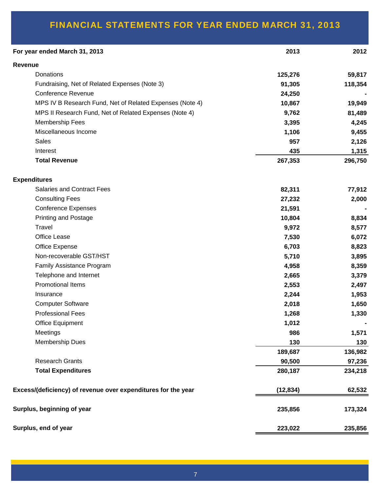# FINANCIAL STATEMENTS FOR YEAR ENDED MARCH 31, 2013

| For year ended March 31, 2013                                 | 2013      | 2012    |
|---------------------------------------------------------------|-----------|---------|
| Revenue                                                       |           |         |
| Donations                                                     | 125,276   | 59,817  |
| Fundraising, Net of Related Expenses (Note 3)                 | 91,305    | 118,354 |
| <b>Conference Revenue</b>                                     | 24,250    |         |
| MPS IV B Research Fund, Net of Related Expenses (Note 4)      | 10,867    | 19,949  |
| MPS II Research Fund, Net of Related Expenses (Note 4)        | 9,762     | 81,489  |
| Membership Fees                                               | 3,395     | 4,245   |
| Miscellaneous Income                                          | 1,106     | 9,455   |
| <b>Sales</b>                                                  | 957       | 2,126   |
| Interest                                                      | 435       | 1,315   |
| <b>Total Revenue</b>                                          | 267,353   | 296,750 |
| <b>Expenditures</b>                                           |           |         |
| <b>Salaries and Contract Fees</b>                             | 82,311    | 77,912  |
| <b>Consulting Fees</b>                                        | 27,232    | 2,000   |
| <b>Conference Expenses</b>                                    | 21,591    |         |
| <b>Printing and Postage</b>                                   | 10,804    | 8,834   |
| Travel                                                        | 9,972     | 8,577   |
| Office Lease                                                  | 7,530     | 6,072   |
| Office Expense                                                | 6,703     | 8,823   |
| Non-recoverable GST/HST                                       | 5,710     | 3,895   |
| Family Assistance Program                                     | 4,958     | 8,359   |
| Telephone and Internet                                        | 2,665     | 3,379   |
| <b>Promotional Items</b>                                      | 2,553     | 2,497   |
| Insurance                                                     | 2,244     | 1,953   |
| <b>Computer Software</b>                                      | 2,018     | 1,650   |
| <b>Professional Fees</b>                                      | 1,268     | 1,330   |
| Office Equipment                                              | 1,012     |         |
| Meetings                                                      | 986       | 1,571   |
| <b>Membership Dues</b>                                        | 130       | 130     |
|                                                               | 189,687   | 136,982 |
| <b>Research Grants</b>                                        | 90,500    | 97,236  |
| <b>Total Expenditures</b>                                     | 280,187   | 234,218 |
| Excess/(deficiency) of revenue over expenditures for the year | (12, 834) |         |
| Surplus, beginning of year                                    | 235,856   | 173,324 |
| Surplus, end of year                                          | 223,022   | 235,856 |